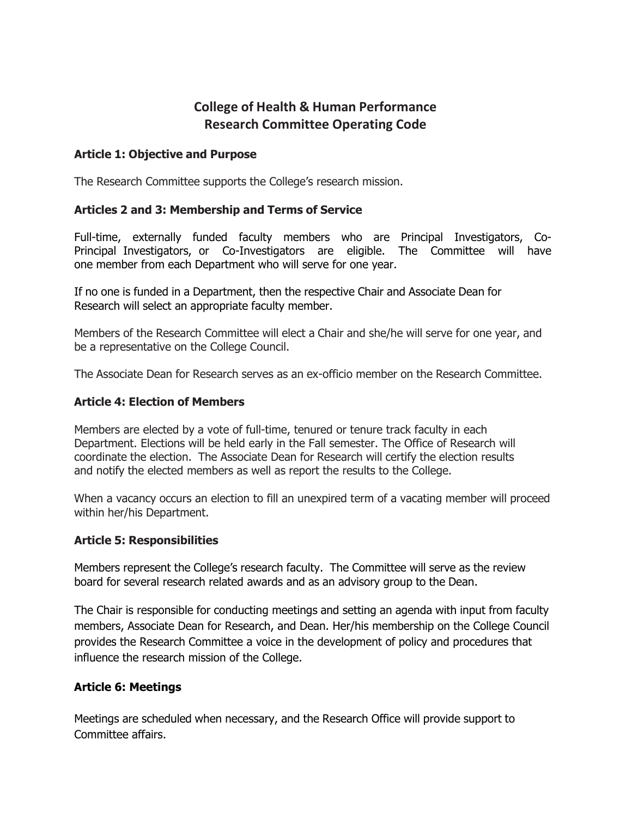# **College of Health & Human Performance Research Committee Operating Code**

### **Article 1: Objective and Purpose**

The Research Committee supports the College's research mission.

#### **Articles 2 and 3: Membership and Terms of Service**

Full-time, externally funded faculty members who are Principal Investigators, Co-Principal Investigators, or Co-Investigators are eligible. The Committee will have one member from each Department who will serve for one year.

If no one is funded in a Department, then the respective Chair and Associate Dean for Research will select an appropriate faculty member.

Members of the Research Committee will elect a Chair and she/he will serve for one year, and be a representative on the College Council.

The Associate Dean for Research serves as an ex-officio member on the Research Committee.

#### **Article 4: Election of Members**

Members are elected by a vote of full-time, tenured or tenure track faculty in each Department. Elections will be held early in the Fall semester. The Office of Research will coordinate the election. The Associate Dean for Research will certify the election results and notify the elected members as well as report the results to the College.

When a vacancy occurs an election to fill an unexpired term of a vacating member will proceed within her/his Department.

#### **Article 5: Responsibilities**

Members represent the College's research faculty. The Committee will serve as the review board for several research related awards and as an advisory group to the Dean.

The Chair is responsible for conducting meetings and setting an agenda with input from faculty members, Associate Dean for Research, and Dean. Her/his membership on the College Council provides the Research Committee a voice in the development of policy and procedures that influence the research mission of the College.

#### **Article 6: Meetings**

Meetings are scheduled when necessary, and the Research Office will provide support to Committee affairs.